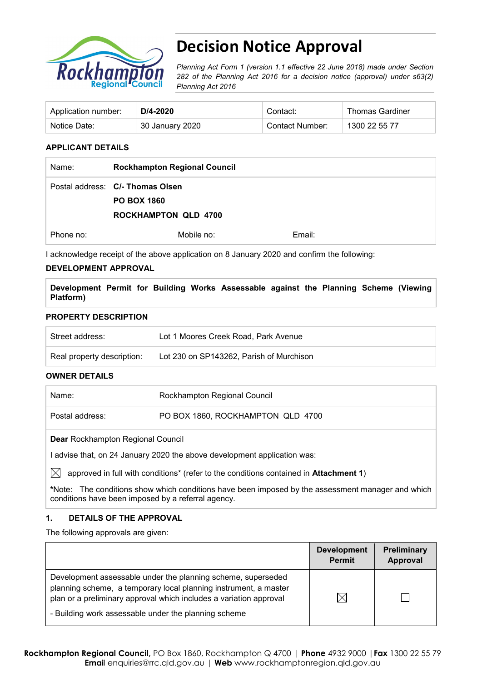

# **Decision Notice Approval**

*Planning Act Form 1 (version 1.1 effective 22 June 2018) made under Section 282 of the Planning Act 2016 for a decision notice (approval) under s63(2) Planning Act 2016*

| Application number: | $D/4 - 2020$    | Contact:        | <b>Thomas Gardiner</b> |
|---------------------|-----------------|-----------------|------------------------|
| Notice Date:        | 30 January 2020 | Contact Number: | 1300 22 55 77          |

#### **APPLICANT DETAILS**

| Name:     | <b>Rockhampton Regional Council</b>                                                   |        |
|-----------|---------------------------------------------------------------------------------------|--------|
|           | Postal address: C/- Thomas Olsen<br><b>PO BOX 1860</b><br><b>ROCKHAMPTON QLD 4700</b> |        |
| Phone no: | Mobile no:                                                                            | Email: |

I acknowledge receipt of the above application on 8 January 2020 and confirm the following:

#### **DEVELOPMENT APPROVAL**

**Development Permit for Building Works Assessable against the Planning Scheme (Viewing Platform)**

#### **PROPERTY DESCRIPTION**

| Street address:            | Lot 1 Moores Creek Road, Park Avenue     |
|----------------------------|------------------------------------------|
| Real property description: | Lot 230 on SP143262, Parish of Murchison |
|                            |                                          |

#### **OWNER DETAILS**

| Name:                                    | Rockhampton Regional Council      |  |
|------------------------------------------|-----------------------------------|--|
| Postal address:                          | PO BOX 1860, ROCKHAMPTON QLD 4700 |  |
| <b>Dear Rockhampton Regional Council</b> |                                   |  |

I advise that, on 24 January 2020 the above development application was:

 $\boxtimes$  approved in full with conditions<sup>\*</sup> (refer to the conditions contained in **Attachment 1**)

**\***Note:The conditions show which conditions have been imposed by the assessment manager and which conditions have been imposed by a referral agency.

#### **1. DETAILS OF THE APPROVAL**

The following approvals are given:

|                                                                                                                                                                                                                                                                | <b>Development</b><br><b>Permit</b> | <b>Preliminary</b><br>Approval |
|----------------------------------------------------------------------------------------------------------------------------------------------------------------------------------------------------------------------------------------------------------------|-------------------------------------|--------------------------------|
| Development assessable under the planning scheme, superseded<br>planning scheme, a temporary local planning instrument, a master<br>plan or a preliminary approval which includes a variation approval<br>- Building work assessable under the planning scheme | IX                                  |                                |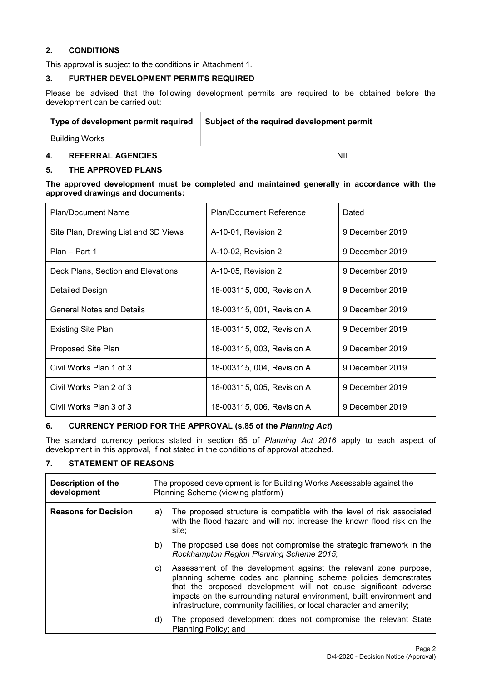#### **2. CONDITIONS**

This approval is subject to the conditions in Attachment 1.

#### **3. FURTHER DEVELOPMENT PERMITS REQUIRED**

Please be advised that the following development permits are required to be obtained before the development can be carried out:

| Type of development permit required | Subject of the required development permit |  |
|-------------------------------------|--------------------------------------------|--|
| Building Works                      |                                            |  |
| <b>REFERRAL AGENCIES</b><br>4.      | <b>NIL</b>                                 |  |

#### **5. THE APPROVED PLANS**

#### **The approved development must be completed and maintained generally in accordance with the approved drawings and documents:**

| Plan/Document Name                   | Plan/Document Reference    | Dated           |
|--------------------------------------|----------------------------|-----------------|
| Site Plan, Drawing List and 3D Views | A-10-01, Revision 2        | 9 December 2019 |
| Plan - Part 1                        | A-10-02, Revision 2        | 9 December 2019 |
| Deck Plans, Section and Elevations   | A-10-05, Revision 2        | 9 December 2019 |
| Detailed Design                      | 18-003115, 000, Revision A | 9 December 2019 |
| <b>General Notes and Details</b>     | 18-003115, 001, Revision A | 9 December 2019 |
| <b>Existing Site Plan</b>            | 18-003115, 002, Revision A | 9 December 2019 |
| Proposed Site Plan                   | 18-003115, 003, Revision A | 9 December 2019 |
| Civil Works Plan 1 of 3              | 18-003115, 004, Revision A | 9 December 2019 |
| Civil Works Plan 2 of 3              | 18-003115, 005, Revision A | 9 December 2019 |
| Civil Works Plan 3 of 3              | 18-003115, 006, Revision A | 9 December 2019 |

#### **6. CURRENCY PERIOD FOR THE APPROVAL (s.85 of the** *Planning Act***)**

The standard currency periods stated in section 85 of *Planning Act 2016* apply to each aspect of development in this approval, if not stated in the conditions of approval attached.

#### **7. STATEMENT OF REASONS**

| Description of the<br>development | The proposed development is for Building Works Assessable against the<br>Planning Scheme (viewing platform)                                                                                                                                                                                                                                                     |  |
|-----------------------------------|-----------------------------------------------------------------------------------------------------------------------------------------------------------------------------------------------------------------------------------------------------------------------------------------------------------------------------------------------------------------|--|
| <b>Reasons for Decision</b>       | The proposed structure is compatible with the level of risk associated<br>a)<br>with the flood hazard and will not increase the known flood risk on the<br>site:                                                                                                                                                                                                |  |
|                                   | The proposed use does not compromise the strategic framework in the<br>b)<br>Rockhampton Region Planning Scheme 2015;                                                                                                                                                                                                                                           |  |
|                                   | Assessment of the development against the relevant zone purpose,<br>C)<br>planning scheme codes and planning scheme policies demonstrates<br>that the proposed development will not cause significant adverse<br>impacts on the surrounding natural environment, built environment and<br>infrastructure, community facilities, or local character and amenity; |  |
|                                   | The proposed development does not compromise the relevant State<br>d)<br>Planning Policy; and                                                                                                                                                                                                                                                                   |  |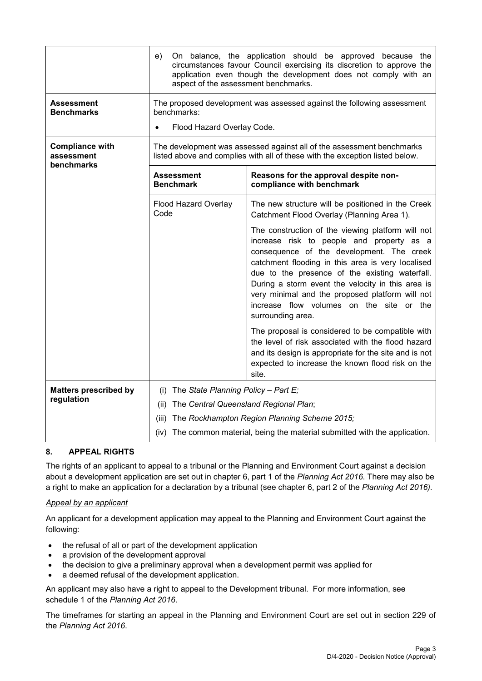|                                                    | On balance, the application should be approved because the<br>e)<br>circumstances favour Council exercising its discretion to approve the<br>application even though the development does not comply with an<br>aspect of the assessment benchmarks. |                                                                                                                                                                                                                                                                                                                                                                                                                             |  |  |
|----------------------------------------------------|------------------------------------------------------------------------------------------------------------------------------------------------------------------------------------------------------------------------------------------------------|-----------------------------------------------------------------------------------------------------------------------------------------------------------------------------------------------------------------------------------------------------------------------------------------------------------------------------------------------------------------------------------------------------------------------------|--|--|
| Assessment<br><b>Benchmarks</b>                    | The proposed development was assessed against the following assessment<br>benchmarks:<br>Flood Hazard Overlay Code.                                                                                                                                  |                                                                                                                                                                                                                                                                                                                                                                                                                             |  |  |
| <b>Compliance with</b><br>assessment<br>benchmarks | The development was assessed against all of the assessment benchmarks<br>listed above and complies with all of these with the exception listed below.                                                                                                |                                                                                                                                                                                                                                                                                                                                                                                                                             |  |  |
|                                                    | <b>Assessment</b><br><b>Benchmark</b>                                                                                                                                                                                                                | Reasons for the approval despite non-<br>compliance with benchmark                                                                                                                                                                                                                                                                                                                                                          |  |  |
|                                                    | Flood Hazard Overlay<br>Code                                                                                                                                                                                                                         | The new structure will be positioned in the Creek<br>Catchment Flood Overlay (Planning Area 1).                                                                                                                                                                                                                                                                                                                             |  |  |
|                                                    |                                                                                                                                                                                                                                                      | The construction of the viewing platform will not<br>increase risk to people and property as a<br>consequence of the development. The creek<br>catchment flooding in this area is very localised<br>due to the presence of the existing waterfall.<br>During a storm event the velocity in this area is<br>very minimal and the proposed platform will not<br>increase flow volumes on the site or the<br>surrounding area. |  |  |
|                                                    |                                                                                                                                                                                                                                                      | The proposal is considered to be compatible with<br>the level of risk associated with the flood hazard<br>and its design is appropriate for the site and is not<br>expected to increase the known flood risk on the<br>site.                                                                                                                                                                                                |  |  |
| <b>Matters prescribed by</b>                       | (i) The State Planning Policy - Part $E_i$                                                                                                                                                                                                           |                                                                                                                                                                                                                                                                                                                                                                                                                             |  |  |
| regulation                                         | The Central Queensland Regional Plan;<br>(ii)                                                                                                                                                                                                        |                                                                                                                                                                                                                                                                                                                                                                                                                             |  |  |
|                                                    | (iii)                                                                                                                                                                                                                                                | The Rockhampton Region Planning Scheme 2015;                                                                                                                                                                                                                                                                                                                                                                                |  |  |
|                                                    | (iv) The common material, being the material submitted with the application.                                                                                                                                                                         |                                                                                                                                                                                                                                                                                                                                                                                                                             |  |  |

## **8. APPEAL RIGHTS**

The rights of an applicant to appeal to a tribunal or the Planning and Environment Court against a decision about a development application are set out in chapter 6, part 1 of the *Planning Act 2016*. There may also be a right to make an application for a declaration by a tribunal (see chapter 6, part 2 of the *Planning Act 2016).*

#### *Appeal by an applicant*

An applicant for a development application may appeal to the Planning and Environment Court against the following:

- the refusal of all or part of the development application
- a provision of the development approval
- the decision to give a preliminary approval when a development permit was applied for
- a deemed refusal of the development application.

An applicant may also have a right to appeal to the Development tribunal. For more information, see schedule 1 of the *Planning Act 2016*.

The timeframes for starting an appeal in the Planning and Environment Court are set out in section 229 of the *Planning Act 2016*.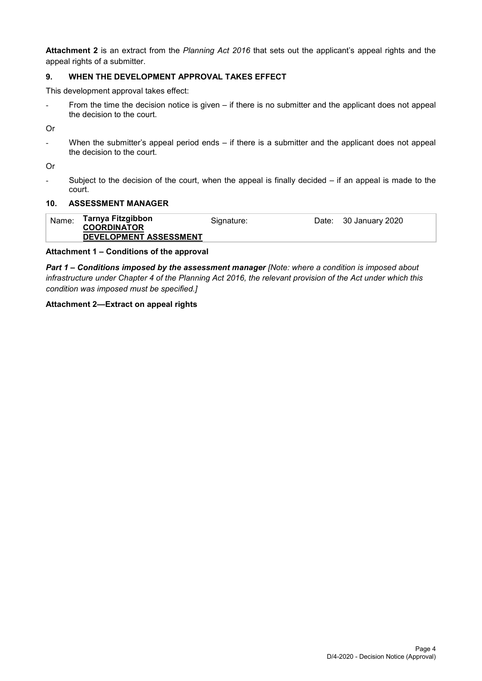**Attachment 2** is an extract from the *Planning Act 2016* that sets out the applicant's appeal rights and the appeal rights of a submitter.

### **9. WHEN THE DEVELOPMENT APPROVAL TAKES EFFECT**

This development approval takes effect:

- From the time the decision notice is given – if there is no submitter and the applicant does not appeal the decision to the court.

Or

When the submitter's appeal period ends  $-$  if there is a submitter and the applicant does not appeal the decision to the court.

Or

- Subject to the decision of the court, when the appeal is finally decided – if an appeal is made to the court.

#### **10. ASSESSMENT MANAGER**

| Name: | Tarnya Fitzgibbon<br><b>COORDINATOR</b> | Signature: | Date: | 30 January 2020 |
|-------|-----------------------------------------|------------|-------|-----------------|
|       | DEVELOPMENT ASSESSMENT                  |            |       |                 |

#### **Attachment 1 – Conditions of the approval**

*Part 1* **–** *Conditions imposed by the assessment manager [Note: where a condition is imposed about infrastructure under Chapter 4 of the Planning Act 2016, the relevant provision of the Act under which this condition was imposed must be specified.]*

#### **Attachment 2—Extract on appeal rights**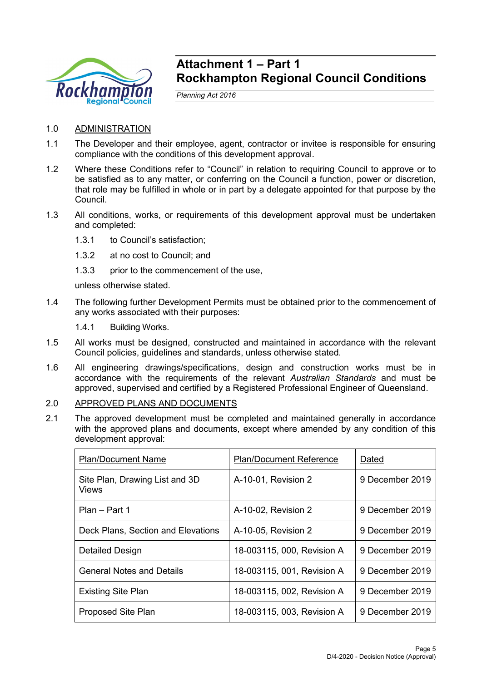

## **Attachment 1 – Part 1 Rockhampton Regional Council Conditions**

*Planning Act 2016*

- 1.0 ADMINISTRATION
- 1.1 The Developer and their employee, agent, contractor or invitee is responsible for ensuring compliance with the conditions of this development approval.
- 1.2 Where these Conditions refer to "Council" in relation to requiring Council to approve or to be satisfied as to any matter, or conferring on the Council a function, power or discretion, that role may be fulfilled in whole or in part by a delegate appointed for that purpose by the Council.
- 1.3 All conditions, works, or requirements of this development approval must be undertaken and completed:
	- 1.3.1 to Council's satisfaction;
	- 1.3.2 at no cost to Council; and
	- 1.3.3 prior to the commencement of the use,

unless otherwise stated.

- 1.4 The following further Development Permits must be obtained prior to the commencement of any works associated with their purposes:
	- 1.4.1 Building Works.
- 1.5 All works must be designed, constructed and maintained in accordance with the relevant Council policies, guidelines and standards, unless otherwise stated.
- 1.6 All engineering drawings/specifications, design and construction works must be in accordance with the requirements of the relevant *Australian Standards* and must be approved, supervised and certified by a Registered Professional Engineer of Queensland.
- 2.0 APPROVED PLANS AND DOCUMENTS
- 2.1 The approved development must be completed and maintained generally in accordance with the approved plans and documents, except where amended by any condition of this development approval:

| <b>Plan/Document Name</b>                      | <b>Plan/Document Reference</b> | Dated           |
|------------------------------------------------|--------------------------------|-----------------|
| Site Plan, Drawing List and 3D<br><b>Views</b> | A-10-01, Revision 2            | 9 December 2019 |
| Plan - Part 1                                  | A-10-02, Revision 2            | 9 December 2019 |
| Deck Plans, Section and Elevations             | A-10-05, Revision 2            | 9 December 2019 |
| Detailed Design                                | 18-003115, 000, Revision A     | 9 December 2019 |
| <b>General Notes and Details</b>               | 18-003115, 001, Revision A     | 9 December 2019 |
| <b>Existing Site Plan</b>                      | 18-003115, 002, Revision A     | 9 December 2019 |
| <b>Proposed Site Plan</b>                      | 18-003115, 003, Revision A     | 9 December 2019 |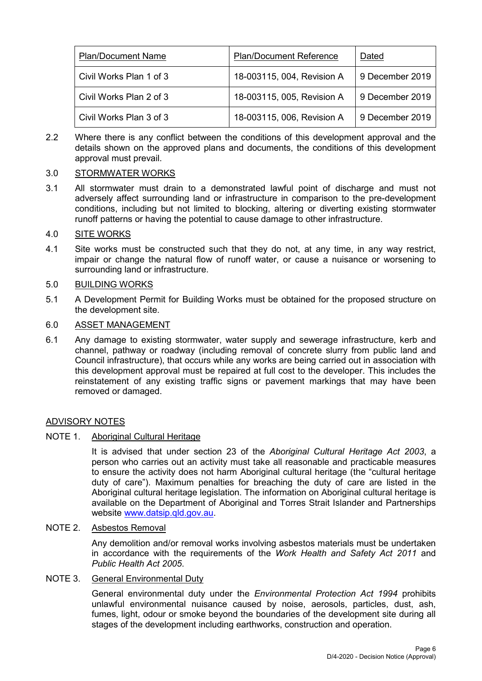| <b>Plan/Document Name</b> | <b>Plan/Document Reference</b> | Dated           |
|---------------------------|--------------------------------|-----------------|
| Civil Works Plan 1 of 3   | 18-003115, 004, Revision A     | 9 December 2019 |
| Civil Works Plan 2 of 3   | 18-003115, 005, Revision A     | 9 December 2019 |
| Civil Works Plan 3 of 3   | 18-003115, 006, Revision A     | 9 December 2019 |

2.2 Where there is any conflict between the conditions of this development approval and the details shown on the approved plans and documents, the conditions of this development approval must prevail.

## 3.0 STORMWATER WORKS

3.1 All stormwater must drain to a demonstrated lawful point of discharge and must not adversely affect surrounding land or infrastructure in comparison to the pre-development conditions, including but not limited to blocking, altering or diverting existing stormwater runoff patterns or having the potential to cause damage to other infrastructure.

## 4.0 SITE WORKS

4.1 Site works must be constructed such that they do not, at any time, in any way restrict, impair or change the natural flow of runoff water, or cause a nuisance or worsening to surrounding land or infrastructure.

## 5.0 BUILDING WORKS

5.1 A Development Permit for Building Works must be obtained for the proposed structure on the development site.

#### 6.0 ASSET MANAGEMENT

6.1 Any damage to existing stormwater, water supply and sewerage infrastructure, kerb and channel, pathway or roadway (including removal of concrete slurry from public land and Council infrastructure), that occurs while any works are being carried out in association with this development approval must be repaired at full cost to the developer. This includes the reinstatement of any existing traffic signs or pavement markings that may have been removed or damaged.

## ADVISORY NOTES

## NOTE 1. Aboriginal Cultural Heritage

It is advised that under section 23 of the *Aboriginal Cultural Heritage Act 2003*, a person who carries out an activity must take all reasonable and practicable measures to ensure the activity does not harm Aboriginal cultural heritage (the "cultural heritage duty of care"). Maximum penalties for breaching the duty of care are listed in the Aboriginal cultural heritage legislation. The information on Aboriginal cultural heritage is available on the Department of Aboriginal and Torres Strait Islander and Partnerships website [www.datsip.qld.gov.au.](http://www.datsip.qld.gov.au/)

## NOTE 2. Asbestos Removal

Any demolition and/or removal works involving asbestos materials must be undertaken in accordance with the requirements of the *Work Health and Safety Act 2011* and *Public Health Act 2005*.

## NOTE 3. General Environmental Duty

General environmental duty under the *Environmental Protection Act 1994* prohibits unlawful environmental nuisance caused by noise, aerosols, particles, dust, ash, fumes, light, odour or smoke beyond the boundaries of the development site during all stages of the development including earthworks, construction and operation.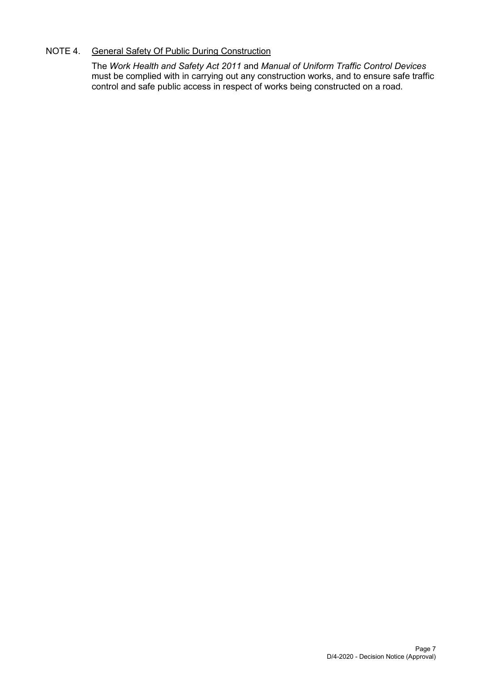## NOTE 4. General Safety Of Public During Construction

The *Work Health and Safety Act 2011* and *Manual of Uniform Traffic Control Devices* must be complied with in carrying out any construction works, and to ensure safe traffic control and safe public access in respect of works being constructed on a road.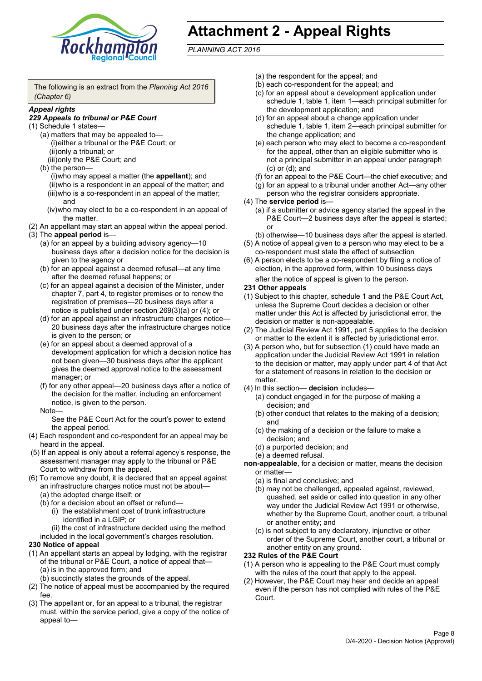

# **Attachment 2 - Appeal Rights**

*PLANNING ACT 2016*

The following is an extract from the *Planning Act 2016 (Chapter 6)*

#### *Appeal rights*

#### *229 Appeals to tribunal or P&E Court*

- (1) Schedule 1 states—
	- (a) matters that may be appealed to— (i)either a tribunal or the P&E Court; or (ii)only a tribunal; or (iii)only the P&E Court; and
	- (b) the person—

(i)who may appeal a matter (the **appellant**); and (ii)who is a respondent in an appeal of the matter; and (iii)who is a co-respondent in an appeal of the matter; and

- (iv)who may elect to be a co-respondent in an appeal of the matter.
- (2) An appellant may start an appeal within the appeal period.
- (3) The **appeal period** is—
	- (a) for an appeal by a building advisory agency—10 business days after a decision notice for the decision is given to the agency or
	- (b) for an appeal against a deemed refusal—at any time after the deemed refusal happens; or
	- (c) for an appeal against a decision of the Minister, under chapter 7, part 4, to register premises or to renew the registration of premises—20 business days after a notice is published under section 269(3)(a) or (4); or
	- (d) for an appeal against an infrastructure charges notice— 20 business days after the infrastructure charges notice is given to the person; or
	- (e) for an appeal about a deemed approval of a development application for which a decision notice has not been given—30 business days after the applicant gives the deemed approval notice to the assessment manager; or
	- (f) for any other appeal—20 business days after a notice of the decision for the matter, including an enforcement notice, is given to the person.

#### Note—

See the P&E Court Act for the court's power to extend the appeal period.

- (4) Each respondent and co-respondent for an appeal may be heard in the appeal.
- (5) If an appeal is only about a referral agency's response, the assessment manager may apply to the tribunal or P&E Court to withdraw from the appeal.
- (6) To remove any doubt, it is declared that an appeal against an infrastructure charges notice must not be about—
	- (a) the adopted charge itself; or
	- (b) for a decision about an offset or refund—
		- (i) the establishment cost of trunk infrastructure identified in a LGIP; or
		- (ii) the cost of infrastructure decided using the method

included in the local government's charges resolution.

- **230 Notice of appeal**
- (1) An appellant starts an appeal by lodging, with the registrar of the tribunal or P&E Court, a notice of appeal that—
	- (a) is in the approved form; and
	- (b) succinctly states the grounds of the appeal.
- (2) The notice of appeal must be accompanied by the required fee.
- (3) The appellant or, for an appeal to a tribunal, the registrar must, within the service period, give a copy of the notice of appeal to—
- (a) the respondent for the appeal; and
- (b) each co-respondent for the appeal; and
- (c) for an appeal about a development application under schedule 1, table 1, item 1—each principal submitter for the development application; and
- (d) for an appeal about a change application under schedule 1, table 1, item 2—each principal submitter for the change application; and
- (e) each person who may elect to become a co-respondent for the appeal, other than an eligible submitter who is not a principal submitter in an appeal under paragraph (c) or (d); and
- (f) for an appeal to the P&E Court—the chief executive; and
- (g) for an appeal to a tribunal under another Act—any other person who the registrar considers appropriate.
- (4) The **service period** is—
	- (a) if a submitter or advice agency started the appeal in the P&E Court—2 business days after the appeal is started; or
	- (b) otherwise—10 business days after the appeal is started.
- (5) A notice of appeal given to a person who may elect to be a co-respondent must state the effect of subsection
- (6) A person elects to be a co-respondent by filing a notice of election, in the approved form, within 10 business days after the notice of appeal is given to the person*.*
- **231 Other appeals**
- (1) Subject to this chapter, schedule 1 and the P&E Court Act, unless the Supreme Court decides a decision or other matter under this Act is affected by jurisdictional error, the decision or matter is non-appealable.
- (2) The Judicial Review Act 1991, part 5 applies to the decision or matter to the extent it is affected by jurisdictional error.
- (3) A person who, but for subsection (1) could have made an application under the Judicial Review Act 1991 in relation to the decision or matter, may apply under part 4 of that Act for a statement of reasons in relation to the decision or matter.
- (4) In this section— **decision** includes—
	- (a) conduct engaged in for the purpose of making a decision; and
	- (b) other conduct that relates to the making of a decision; and
	- (c) the making of a decision or the failure to make a decision; and
	- (d) a purported decision; and
	- (e) a deemed refusal.

**non-appealable**, for a decision or matter, means the decision or matter—

- (a) is final and conclusive; and
- (b) may not be challenged, appealed against, reviewed, quashed, set aside or called into question in any other way under the Judicial Review Act 1991 or otherwise, whether by the Supreme Court, another court, a tribunal or another entity; and
- (c) is not subject to any declaratory, injunctive or other order of the Supreme Court, another court, a tribunal or another entity on any ground.

#### **232 Rules of the P&E Court**

- (1) A person who is appealing to the P&E Court must comply with the rules of the court that apply to the appeal.
- (2) However, the P&E Court may hear and decide an appeal even if the person has not complied with rules of the P&E Court.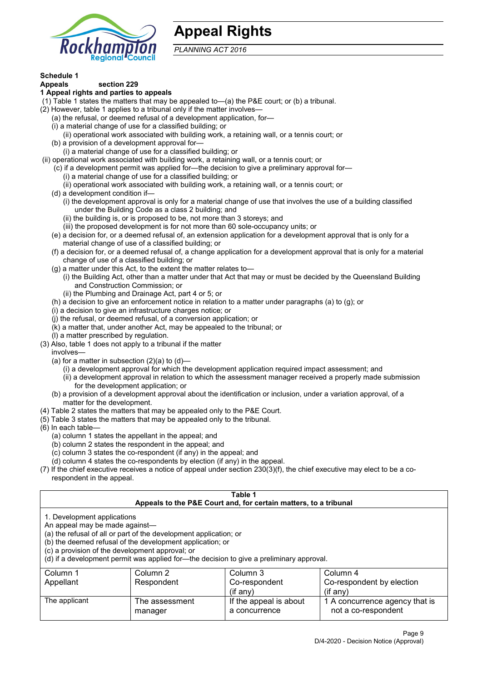

## **Appeal Rights**

*PLANNING ACT 2016*

## **Schedule 1**

#### **Appeals section 229 1 Appeal rights and parties to appeals**

- (1) Table 1 states the matters that may be appealed to—(a) the P&E court; or (b) a tribunal.
- (2) However, table 1 applies to a tribunal only if the matter involves—
	- (a) the refusal, or deemed refusal of a development application, for—
	- (i) a material change of use for a classified building; or
	- (ii) operational work associated with building work, a retaining wall, or a tennis court; or
	- (b) a provision of a development approval for—
	- (i) a material change of use for a classified building; or
- (ii) operational work associated with building work, a retaining wall, or a tennis court; or
	- (c) if a development permit was applied for—the decision to give a preliminary approval for—
		- (i) a material change of use for a classified building; or
		- (ii) operational work associated with building work, a retaining wall, or a tennis court; or
	- (d) a development condition if—
		- (i) the development approval is only for a material change of use that involves the use of a building classified under the Building Code as a class 2 building; and
		- (ii) the building is, or is proposed to be, not more than 3 storeys; and
		- (iii) the proposed development is for not more than 60 sole-occupancy units; or
	- (e) a decision for, or a deemed refusal of, an extension application for a development approval that is only for a material change of use of a classified building; or
	- (f) a decision for, or a deemed refusal of, a change application for a development approval that is only for a material change of use of a classified building; or
	- (g) a matter under this Act, to the extent the matter relates to—
		- (i) the Building Act, other than a matter under that Act that may or must be decided by the Queensland Building and Construction Commission; or
		- (ii) the Plumbing and Drainage Act, part 4 or 5; or
	- (h) a decision to give an enforcement notice in relation to a matter under paragraphs (a) to (g); or
	- (i) a decision to give an infrastructure charges notice; or
	- (j) the refusal, or deemed refusal, of a conversion application; or
	- (k) a matter that, under another Act, may be appealed to the tribunal; or
	- (l) a matter prescribed by regulation.
- (3) Also, table 1 does not apply to a tribunal if the matter

involves—

- (a) for a matter in subsection  $(2)(a)$  to  $(d)$ 
	- (i) a development approval for which the development application required impact assessment; and
	- (ii) a development approval in relation to which the assessment manager received a properly made submission for the development application; or
- (b) a provision of a development approval about the identification or inclusion, under a variation approval, of a matter for the development.
- (4) Table 2 states the matters that may be appealed only to the P&E Court.
- (5) Table 3 states the matters that may be appealed only to the tribunal.
- (6) In each table—
	- (a) column 1 states the appellant in the appeal; and
	- (b) column 2 states the respondent in the appeal; and
	- (c) column 3 states the co-respondent (if any) in the appeal; and
	- (d) column 4 states the co-respondents by election (if any) in the appeal.
- (7) If the chief executive receives a notice of appeal under section 230(3)(f), the chief executive may elect to be a corespondent in the appeal.

| Table 1<br>Appeals to the P&E Court and, for certain matters, to a tribunal                                                                                                                                                                                                                                                                    |                           |                                         |                                                       |  |
|------------------------------------------------------------------------------------------------------------------------------------------------------------------------------------------------------------------------------------------------------------------------------------------------------------------------------------------------|---------------------------|-----------------------------------------|-------------------------------------------------------|--|
| 1. Development applications<br>An appeal may be made against-<br>(a) the refusal of all or part of the development application; or<br>(b) the deemed refusal of the development application; or<br>(c) a provision of the development approval; or<br>(d) if a development permit was applied for—the decision to give a preliminary approval. |                           |                                         |                                                       |  |
| Column 3<br>Column 1<br>Column 2<br>Column 4<br>Respondent<br>Co-respondent by election<br>Appellant<br>Co-respondent<br>$(if$ any)<br>$(i$ f any)                                                                                                                                                                                             |                           |                                         |                                                       |  |
| The applicant                                                                                                                                                                                                                                                                                                                                  | The assessment<br>manager | If the appeal is about<br>a concurrence | 1 A concurrence agency that is<br>not a co-respondent |  |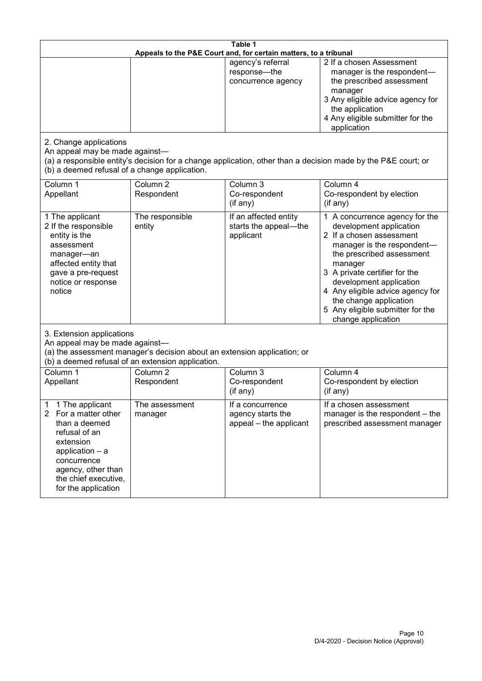| Table 1<br>Appeals to the P&E Court and, for certain matters, to a tribunal                                                                                                                           |                                   |                                                                 |                                                                                                                                                                                                                                                                                                                                                 |  |
|-------------------------------------------------------------------------------------------------------------------------------------------------------------------------------------------------------|-----------------------------------|-----------------------------------------------------------------|-------------------------------------------------------------------------------------------------------------------------------------------------------------------------------------------------------------------------------------------------------------------------------------------------------------------------------------------------|--|
|                                                                                                                                                                                                       |                                   | agency's referral<br>response-the<br>concurrence agency         | 2 If a chosen Assessment<br>manager is the respondent-<br>the prescribed assessment<br>manager<br>3 Any eligible advice agency for<br>the application<br>4 Any eligible submitter for the<br>application                                                                                                                                        |  |
| 2. Change applications<br>An appeal may be made against-<br>(b) a deemed refusal of a change application.                                                                                             |                                   |                                                                 | (a) a responsible entity's decision for a change application, other than a decision made by the P&E court; or                                                                                                                                                                                                                                   |  |
| Column 1<br>Appellant                                                                                                                                                                                 | Column <sub>2</sub><br>Respondent | Column 3<br>Co-respondent<br>(if any)                           | Column 4<br>Co-respondent by election<br>(if any)                                                                                                                                                                                                                                                                                               |  |
| 1 The applicant<br>2 If the responsible<br>entity is the<br>assessment<br>manager-an<br>affected entity that<br>gave a pre-request<br>notice or response<br>notice                                    | The responsible<br>entity         | If an affected entity<br>starts the appeal-the<br>applicant     | 1 A concurrence agency for the<br>development application<br>2 If a chosen assessment<br>manager is the respondent-<br>the prescribed assessment<br>manager<br>3 A private certifier for the<br>development application<br>4 Any eligible advice agency for<br>the change application<br>5 Any eligible submitter for the<br>change application |  |
| 3. Extension applications<br>An appeal may be made against-<br>(a) the assessment manager's decision about an extension application; or<br>(b) a deemed refusal of an extension application.          |                                   |                                                                 |                                                                                                                                                                                                                                                                                                                                                 |  |
| Column 1<br>Appellant                                                                                                                                                                                 | Column <sub>2</sub><br>Respondent | Column 3<br>Co-respondent<br>(if any)                           | Column 4<br>Co-respondent by election<br>(if any)                                                                                                                                                                                                                                                                                               |  |
| 1 The applicant<br>1<br>2<br>For a matter other<br>than a deemed<br>refusal of an<br>extension<br>application - a<br>concurrence<br>agency, other than<br>the chief executive,<br>for the application | The assessment<br>manager         | If a concurrence<br>agency starts the<br>appeal - the applicant | If a chosen assessment<br>manager is the respondent - the<br>prescribed assessment manager                                                                                                                                                                                                                                                      |  |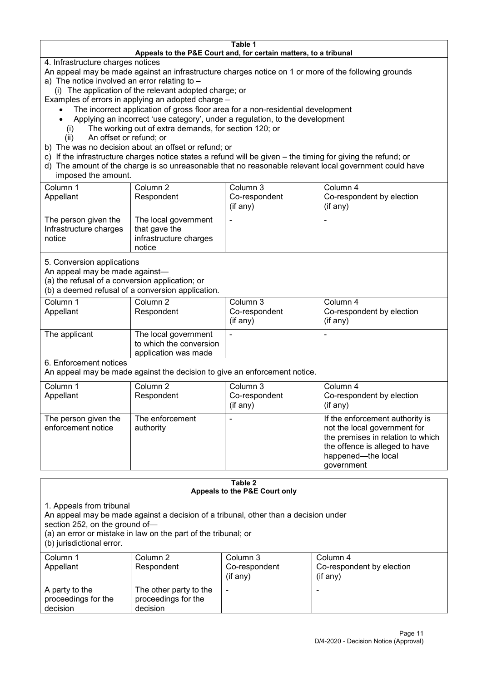#### **Table 1 Appeals to the P&E Court and, for certain matters, to a tribunal**

4. Infrastructure charges notices

- An appeal may be made against an infrastructure charges notice on 1 or more of the following grounds
- a) The notice involved an error relating to
	- (i) The application of the relevant adopted charge; or
- Examples of errors in applying an adopted charge
	- The incorrect application of gross floor area for a non-residential development
	- Applying an incorrect 'use category', under a regulation, to the development
	- (i) The working out of extra demands, for section 120; or
	- (ii) An offset or refund; or
- b) The was no decision about an offset or refund; or
- c) If the infrastructure charges notice states a refund will be given the timing for giving the refund; or
- d) The amount of the charge is so unreasonable that no reasonable relevant local government could have

## imposed the amount.

| Column 1<br>Appellant                                    | Column 2<br>Respondent                                                    | Column 3<br>Co-respondent<br>(if any) | Column 4<br>Co-respondent by election<br>$($ if any $)$ |
|----------------------------------------------------------|---------------------------------------------------------------------------|---------------------------------------|---------------------------------------------------------|
| The person given the<br>Infrastructure charges<br>notice | The local government<br>that gave the<br>infrastructure charges<br>notice |                                       |                                                         |

5. Conversion applications

An appeal may be made against—

(a) the refusal of a conversion application; or

(b) a deemed refusal of a conversion application.

| Column 1<br>Appellant | Column 2<br>Respondent                                                  | Column 3<br>Co-respondent<br>$($ if any $)$ | Column 4<br>Co-respondent by election<br>$($ if any $)$ |
|-----------------------|-------------------------------------------------------------------------|---------------------------------------------|---------------------------------------------------------|
| The applicant         | The local government<br>to which the conversion<br>application was made |                                             |                                                         |

6. Enforcement notices

An appeal may be made against the decision to give an enforcement notice.

| Column 1                                   | Column 2                     | Column 3      | Column 4                                                                                                                                                                   |
|--------------------------------------------|------------------------------|---------------|----------------------------------------------------------------------------------------------------------------------------------------------------------------------------|
| Appellant                                  | Respondent                   | Co-respondent | Co-respondent by election                                                                                                                                                  |
|                                            |                              | (if any)      | (if any)                                                                                                                                                                   |
| The person given the<br>enforcement notice | The enforcement<br>authority |               | If the enforcement authority is<br>not the local government for<br>the premises in relation to which<br>the offence is alleged to have<br>happened-the local<br>government |

#### **Table 2 Appeals to the P&E Court only**

1. Appeals from tribunal

An appeal may be made against a decision of a tribunal, other than a decision under

section 252, on the ground of—

(a) an error or mistake in law on the part of the tribunal; or

(b) jurisdictional error.

| Column 1<br>Appellant                             | Column 2<br>Respondent                                    | Column 3<br>Co-respondent<br>$($ if any $)$ | Column 4<br>Co-respondent by election<br>$($ if any $)$ |
|---------------------------------------------------|-----------------------------------------------------------|---------------------------------------------|---------------------------------------------------------|
| A party to the<br>proceedings for the<br>decision | The other party to the<br>proceedings for the<br>decision | ٠                                           |                                                         |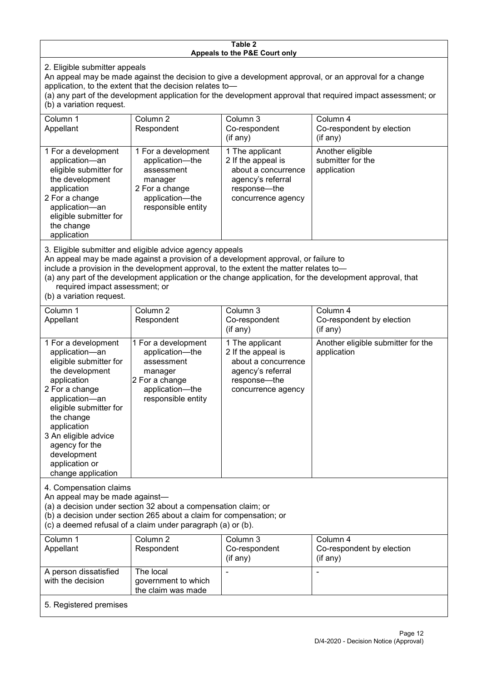#### **Table 2 Appeals to the P&E Court only**

2. Eligible submitter appeals

An appeal may be made against the decision to give a development approval, or an approval for a change application, to the extent that the decision relates to—

(a) any part of the development application for the development approval that required impact assessment; or (b) a variation request.

| Column 1                                                                                                                                                                                     | Column 2                                                                                                                   | Column 3                                                                                                                  | Column 4                                             |  |
|----------------------------------------------------------------------------------------------------------------------------------------------------------------------------------------------|----------------------------------------------------------------------------------------------------------------------------|---------------------------------------------------------------------------------------------------------------------------|------------------------------------------------------|--|
| Appellant                                                                                                                                                                                    | Respondent                                                                                                                 | Co-respondent                                                                                                             | Co-respondent by election                            |  |
|                                                                                                                                                                                              |                                                                                                                            | (if any)                                                                                                                  | $($ if any $)$                                       |  |
| 1 For a development<br>application-an<br>eligible submitter for<br>the development<br>application<br>2 For a change<br>application-an<br>eligible submitter for<br>the change<br>application | 1 For a development<br>application-the<br>assessment<br>manager<br>2 For a change<br>application-the<br>responsible entity | 1 The applicant<br>2 If the appeal is<br>about a concurrence<br>agency's referral<br>response---the<br>concurrence agency | Another eligible<br>submitter for the<br>application |  |
|                                                                                                                                                                                              |                                                                                                                            |                                                                                                                           |                                                      |  |

3. Eligible submitter and eligible advice agency appeals

An appeal may be made against a provision of a development approval, or failure to

include a provision in the development approval, to the extent the matter relates to—

(a) any part of the development application or the change application, for the development approval, that required impact assessment; or

(b) a variation request.

| Column 1<br>Appellant                                                                                                                                                                                                                                                                         | Column <sub>2</sub><br>Respondent                                                                                          | Column 3<br>Co-respondent<br>(if any)                                                                                   | Column 4<br>Co-respondent by election<br>(if any) |
|-----------------------------------------------------------------------------------------------------------------------------------------------------------------------------------------------------------------------------------------------------------------------------------------------|----------------------------------------------------------------------------------------------------------------------------|-------------------------------------------------------------------------------------------------------------------------|---------------------------------------------------|
| 1 For a development<br>application-an<br>eligible submitter for<br>the development<br>application<br>2 For a change<br>application-an<br>eligible submitter for<br>the change<br>application<br>3 An eligible advice<br>agency for the<br>development<br>application or<br>change application | 1 For a development<br>application-the<br>assessment<br>manager<br>2 For a change<br>application-the<br>responsible entity | 1 The applicant<br>2 If the appeal is<br>about a concurrence<br>agency's referral<br>response-the<br>concurrence agency | Another eligible submitter for the<br>application |
| 4. Compensation claims<br>An appeal may be made against-<br>(a) a decision under section 32 about a compensation claim; or<br>(b) a decision under section 265 about a claim for compensation; or<br>(c) a deemed refusal of a claim under paragraph (a) or (b).                              |                                                                                                                            |                                                                                                                         |                                                   |
| Column 1<br>Appellant                                                                                                                                                                                                                                                                         | Column <sub>2</sub><br>Respondent                                                                                          | Column 3<br>Co-respondent<br>(if any)                                                                                   | Column 4<br>Co-respondent by election<br>(if any) |
| A person dissatisfied<br>with the decision                                                                                                                                                                                                                                                    | The local<br>government to which<br>the claim was made                                                                     |                                                                                                                         | $\blacksquare$                                    |
| 5. Registered premises                                                                                                                                                                                                                                                                        |                                                                                                                            |                                                                                                                         |                                                   |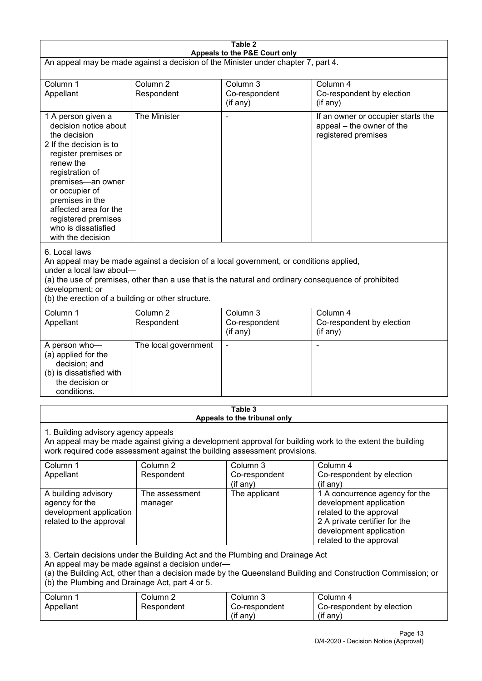| Table 2                                                                                                                                                                                                                                                                                              |                                   |                                                                                                                                                                                                |                                                                                                                                                                             |  |
|------------------------------------------------------------------------------------------------------------------------------------------------------------------------------------------------------------------------------------------------------------------------------------------------------|-----------------------------------|------------------------------------------------------------------------------------------------------------------------------------------------------------------------------------------------|-----------------------------------------------------------------------------------------------------------------------------------------------------------------------------|--|
| Appeals to the P&E Court only<br>An appeal may be made against a decision of the Minister under chapter 7, part 4.                                                                                                                                                                                   |                                   |                                                                                                                                                                                                |                                                                                                                                                                             |  |
| Column 1<br>Appellant                                                                                                                                                                                                                                                                                | Column 2<br>Respondent            | Column 3<br>Co-respondent<br>(if any)                                                                                                                                                          | Column 4<br>Co-respondent by election<br>(if any)                                                                                                                           |  |
| 1 A person given a<br>decision notice about<br>the decision<br>2 If the decision is to<br>register premises or<br>renew the<br>registration of<br>premises-an owner<br>or occupier of<br>premises in the<br>affected area for the<br>registered premises<br>who is dissatisfied<br>with the decision | The Minister                      |                                                                                                                                                                                                | If an owner or occupier starts the<br>appeal - the owner of the<br>registered premises                                                                                      |  |
| 6. Local laws<br>under a local law about-<br>development; or<br>(b) the erection of a building or other structure.                                                                                                                                                                                   |                                   | An appeal may be made against a decision of a local government, or conditions applied,<br>(a) the use of premises, other than a use that is the natural and ordinary consequence of prohibited |                                                                                                                                                                             |  |
| Column 1<br>Appellant                                                                                                                                                                                                                                                                                | Column <sub>2</sub><br>Respondent | Column 3<br>Co-respondent<br>(if any)                                                                                                                                                          | Column 4<br>Co-respondent by election<br>(if any)                                                                                                                           |  |
| A person who-<br>(a) applied for the<br>decision; and<br>(b) is dissatisfied with<br>the decision or<br>conditions.                                                                                                                                                                                  | The local government              |                                                                                                                                                                                                | ٠                                                                                                                                                                           |  |
|                                                                                                                                                                                                                                                                                                      |                                   | Table 3<br>Appeals to the tribunal only                                                                                                                                                        |                                                                                                                                                                             |  |
| 1. Building advisory agency appeals<br>An appeal may be made against giving a development approval for building work to the extent the building<br>work required code assessment against the building assessment provisions.                                                                         |                                   |                                                                                                                                                                                                |                                                                                                                                                                             |  |
| Column 1<br>Appellant                                                                                                                                                                                                                                                                                | Column <sub>2</sub><br>Respondent | Column 3<br>Co-respondent<br>(if any)                                                                                                                                                          | Column 4<br>Co-respondent by election<br>(if any)                                                                                                                           |  |
| A building advisory<br>agency for the<br>development application<br>related to the approval                                                                                                                                                                                                          | The assessment<br>manager         | The applicant                                                                                                                                                                                  | 1 A concurrence agency for the<br>development application<br>related to the approval<br>2 A private certifier for the<br>development application<br>related to the approval |  |
| 3. Certain decisions under the Building Act and the Plumbing and Drainage Act<br>An appeal may be made against a decision under-<br>(a) the Building Act, other than a decision made by the Queensland Building and Construction Commission; or<br>(b) the Plumbing and Drainage Act, part 4 or 5.   |                                   |                                                                                                                                                                                                |                                                                                                                                                                             |  |
| Column 1<br>Appellant                                                                                                                                                                                                                                                                                | Column <sub>2</sub><br>Respondent | Column 3<br>Co-respondent<br>(if any)                                                                                                                                                          | Column 4<br>Co-respondent by election<br>(if any)                                                                                                                           |  |